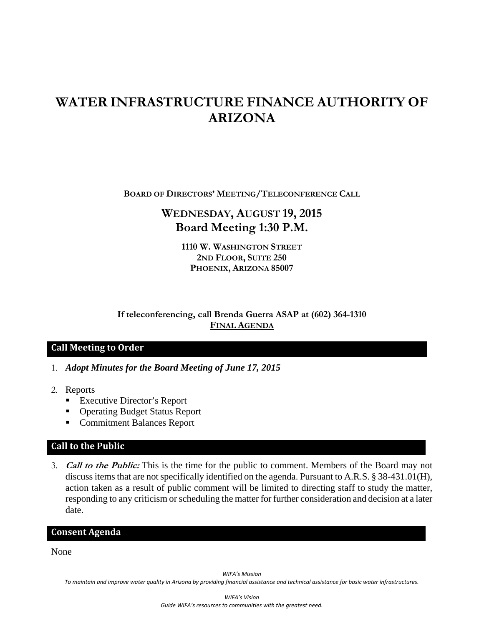# **WATER INFRASTRUCTURE FINANCE AUTHORITY OF ARIZONA**

**BOARD OF DIRECTORS' MEETING/TELECONFERENCE CALL**

# **WEDNESDAY, AUGUST 19, 2015 Board Meeting 1:30 P.M.**

**1110 W. WASHINGTON STREET 2ND FLOOR, SUITE 250 PHOENIX, ARIZONA 85007** 

## **If teleconferencing, call Brenda Guerra ASAP at (602) 364-1310 FINAL AGENDA**

## **Call Meeting to Order**

- 1. *Adopt Minutes for the Board Meeting of June 17, 2015*
- 2. Reports
	- Executive Director's Report
	- Operating Budget Status Report
	- Commitment Balances Report

# **Call to the Public**

3. **Call to the Public:** This is the time for the public to comment. Members of the Board may not discuss items that are not specifically identified on the agenda. Pursuant to A.R.S. § 38-431.01(H), action taken as a result of public comment will be limited to directing staff to study the matter, responding to any criticism or scheduling the matter for further consideration and decision at a later date.

#### **Consent Agenda**

None

*WIFA's Mission*

To maintain and improve water quality in Arizona by providing financial assistance and technical assistance for basic water infrastructures.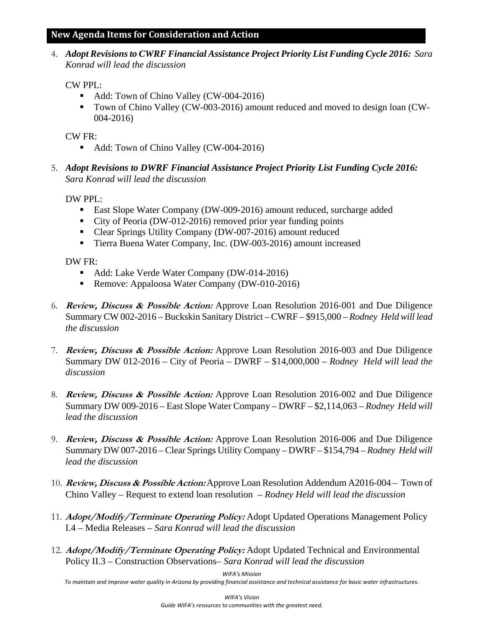4. *Adopt Revisions to CWRF Financial Assistance Project Priority List Funding Cycle 2016: Sara Konrad will lead the discussion*

CW PPL:

- Add: Town of Chino Valley (CW-004-2016)
- Town of Chino Valley (CW-003-2016) amount reduced and moved to design loan (CW-004-2016)

CW FR:

- Add: Town of Chino Valley (CW-004-2016)
- 5. *Adopt Revisions to DWRF Financial Assistance Project Priority List Funding Cycle 2016: Sara Konrad will lead the discussion*

DW PPL:

- **East Slope Water Company (DW-009-2016) amount reduced, surcharge added**
- City of Peoria (DW-012-2016) removed prior year funding points
- Clear Springs Utility Company (DW-007-2016) amount reduced
- Tierra Buena Water Company, Inc. (DW-003-2016) amount increased

DW FR:

- Add: Lake Verde Water Company (DW-014-2016)
- Remove: Appaloosa Water Company (DW-010-2016)
- 6. **Review, Discuss & Possible Action:** Approve Loan Resolution 2016-001 and Due Diligence Summary CW 002-2016 – Buckskin Sanitary District – CWRF – \$915,000 *– Rodney Held will lead the discussion*
- 7. **Review, Discuss & Possible Action:** Approve Loan Resolution 2016-003 and Due Diligence Summary DW 012-2016 – City of Peoria – DWRF – \$14,000,000 *– Rodney Held will lead the discussion*
- 8. **Review, Discuss & Possible Action:** Approve Loan Resolution 2016-002 and Due Diligence Summary DW 009-2016 – East Slope Water Company – DWRF – \$2,114,063 *– Rodney Held will lead the discussion*
- 9. **Review, Discuss & Possible Action:** Approve Loan Resolution 2016-006 and Due Diligence Summary DW 007-2016 – Clear Springs Utility Company – DWRF – \$154,794 *– Rodney Held will lead the discussion*
- 10. **Review, Discuss & Possible Action:** Approve Loan Resolution Addendum A2016-004 Town of Chino Valley – Request to extend loan resolution – *Rodney Held will lead the discussion*
- 11. **Adopt/Modify/Terminate Operating Policy:** Adopt Updated Operations Management Policy I.4 *–* Media Releases *– Sara Konrad will lead the discussion*
- 12. **Adopt/Modify/Terminate Operating Policy:** Adopt Updated Technical and Environmental Policy II.3 *–* Construction Observations*– Sara Konrad will lead the discussion*

*WIFA's Mission*

To maintain and improve water quality in Arizona by providing financial assistance and technical assistance for basic water infrastructures.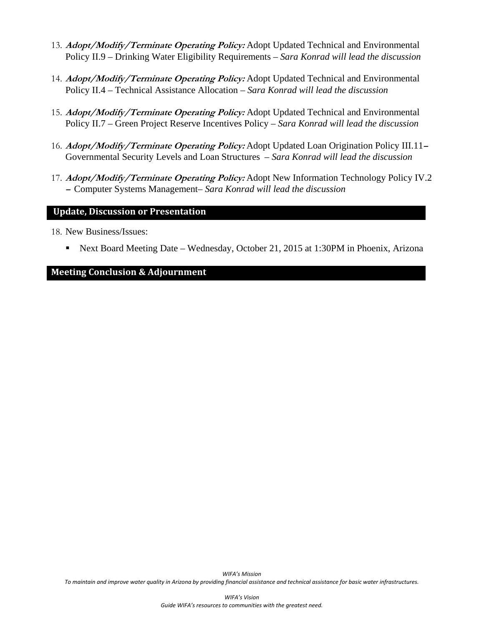- 13. **Adopt/Modify/Terminate Operating Policy:** Adopt Updated Technical and Environmental Policy II.9 *–* Drinking Water Eligibility Requirements *– Sara Konrad will lead the discussion*
- 14. **Adopt/Modify/Terminate Operating Policy:** Adopt Updated Technical and Environmental Policy II.4 *–* Technical Assistance Allocation *– Sara Konrad will lead the discussion*
- 15. **Adopt/Modify/Terminate Operating Policy:** Adopt Updated Technical and Environmental Policy II.7 *–* Green Project Reserve Incentives Policy *– Sara Konrad will lead the discussion*
- 16. **Adopt/Modify/Terminate Operating Policy:** Adopt Updated Loan Origination Policy III.11 Governmental Security Levels and Loan Structures *– Sara Konrad will lead the discussion*
- 17. **Adopt/Modify/Terminate Operating Policy:** Adopt New Information Technology Policy IV.2 **–** Computer Systems Management*– Sara Konrad will lead the discussion*

#### **Update, Discussion or Presentation**

- 18. New Business/Issues:
	- Next Board Meeting Date Wednesday, October 21, 2015 at 1:30PM in Phoenix, Arizona

#### **Meeting Conclusion & Adjournment**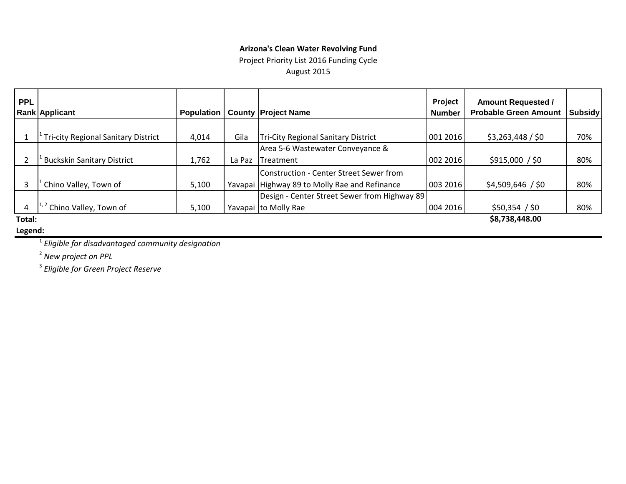#### **Arizona's Clean Water Revolving Fund**

Project Priority List 2016 Funding Cycle August 2015

| <b>PPL</b> | <b>Rank Applicant</b>                            | <b>Population</b> |        | <b>County Project Name</b>                    | Project<br><b>Number</b> | <b>Amount Requested /</b><br><b>Probable Green Amount</b> | <b>Subsidy</b> |
|------------|--------------------------------------------------|-------------------|--------|-----------------------------------------------|--------------------------|-----------------------------------------------------------|----------------|
|            |                                                  |                   |        |                                               |                          |                                                           |                |
|            | <sup>1</sup> Tri-city Regional Sanitary District | 4,014             | Gila   | Tri-City Regional Sanitary District           | 001 2016                 | \$3,263,448 / \$0                                         | 70%            |
|            |                                                  |                   |        | Area 5-6 Wastewater Conveyance &              |                          |                                                           |                |
|            | <b>Buckskin Sanitary District</b>                | 1,762             | La Paz | <b>ITreatment</b>                             | 002 2016                 | \$915,000 / \$0                                           | 80%            |
|            |                                                  |                   |        | Construction - Center Street Sewer from       |                          |                                                           |                |
| 3          | Chino Valley, Town of                            | 5,100             |        | Yavapai Highway 89 to Molly Rae and Refinance | 003 2016                 | $$4,509,646$ / \$0                                        | 80%            |
|            |                                                  |                   |        | Design - Center Street Sewer from Highway 89  |                          |                                                           |                |
| 4          | $1^{1,2}$ Chino Valley, Town of                  | 5,100             |        | Yavapai to Molly Rae                          | 004 2016                 | \$50,354 / \$0                                            | 80%            |
| Total:     |                                                  |                   |        |                                               |                          | \$8,738,448.00                                            |                |

#### **Legend:**

<sup>1</sup> *Eligible for disadvantaged community designation*

<sup>2</sup> *New project on PPL*

<sup>3</sup> *Eligible for Green Project Reserve*